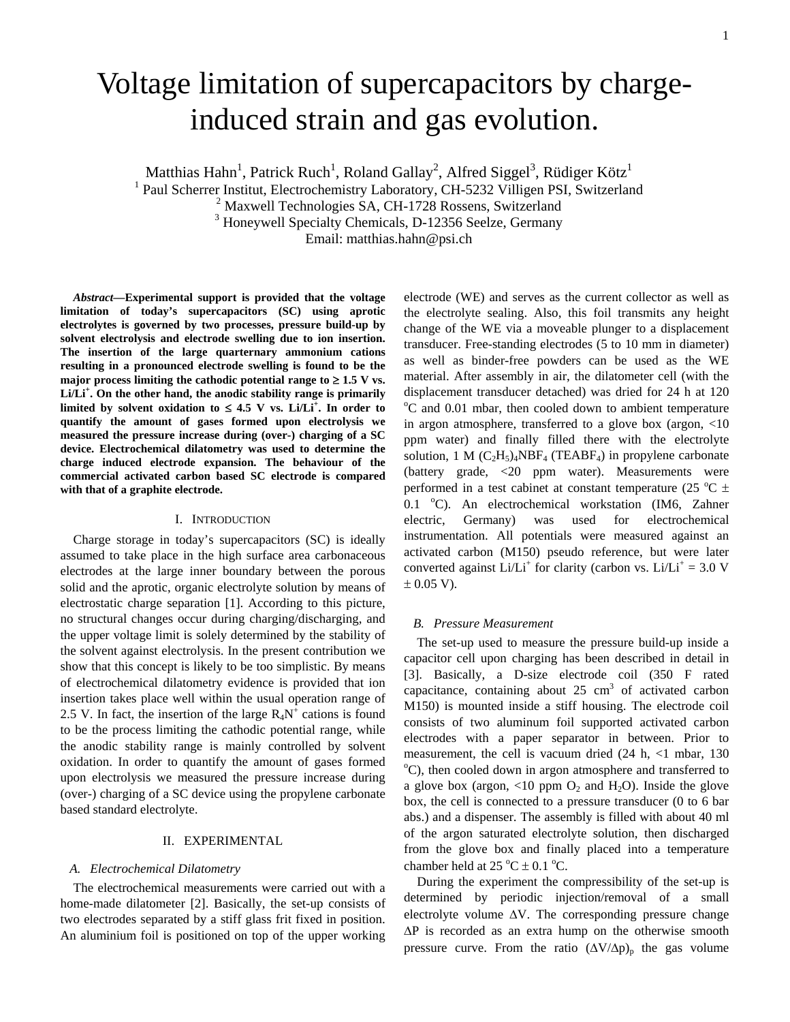# Voltage limitation of supercapacitors by chargeinduced strain and gas evolution.

Matthias Hahn<sup>1</sup>, Patrick Ruch<sup>1</sup>, Roland Gallay<sup>2</sup>, Alfred Siggel<sup>3</sup>, Rüdiger Kötz<sup>1</sup><br><sup>1</sup> Paul Scherrer Institut, Electrochemistry Laboratory, CH-5232 Villigen PSI, Switzerland<sup>2</sup> Maxwell Technologies SA, CH-1728 Rossens

<sup>3</sup> Honeywell Specialty Chemicals, D-12356 Seelze, Germany

Email: matthias.hahn@psi.ch

*Abstract***—Experimental support is provided that the voltage limitation of today's supercapacitors (SC) using aprotic electrolytes is governed by two processes, pressure build-up by solvent electrolysis and electrode swelling due to ion insertion. The insertion of the large quarternary ammonium cations resulting in a pronounced electrode swelling is found to be the major process limiting the cathodic potential range to ≥ 1.5 V vs. Li/Li<sup>+</sup> . On the other hand, the anodic stability range is primarily**  limited by solvent oxidation to ≤ 4.5 V vs. Li/Li<sup>+</sup>. In order to **quantify the amount of gases formed upon electrolysis we measured the pressure increase during (over-) charging of a SC device. Electrochemical dilatometry was used to determine the charge induced electrode expansion. The behaviour of the commercial activated carbon based SC electrode is compared with that of a graphite electrode.** 

# I. INTRODUCTION

Charge storage in today's supercapacitors (SC) is ideally assumed to take place in the high surface area carbonaceous electrodes at the large inner boundary between the porous solid and the aprotic, organic electrolyte solution by means of electrostatic charge separation [1]. According to this picture, no structural changes occur during charging/discharging, and the upper voltage limit is solely determined by the stability of the solvent against electrolysis. In the present contribution we show that this concept is likely to be too simplistic. By means of electrochemical dilatometry evidence is provided that ion insertion takes place well within the usual operation range of 2.5 V. In fact, the insertion of the large  $R_4N^+$  cations is found to be the process limiting the cathodic potential range, while the anodic stability range is mainly controlled by solvent oxidation. In order to quantify the amount of gases formed upon electrolysis we measured the pressure increase during (over-) charging of a SC device using the propylene carbonate based standard electrolyte.

# II. EXPERIMENTAL

## *A. Electrochemical Dilatometry*

The electrochemical measurements were carried out with a home-made dilatometer [2]. Basically, the set-up consists of two electrodes separated by a stiff glass frit fixed in position. An aluminium foil is positioned on top of the upper working

electrode (WE) and serves as the current collector as well as the electrolyte sealing. Also, this foil transmits any height change of the WE via a moveable plunger to a displacement transducer. Free-standing electrodes (5 to 10 mm in diameter) as well as binder-free powders can be used as the WE material. After assembly in air, the dilatometer cell (with the displacement transducer detached) was dried for 24 h at 120 <sup>o</sup>C and 0.01 mbar, then cooled down to ambient temperature in argon atmosphere, transferred to a glove box (argon, <10 ppm water) and finally filled there with the electrolyte solution, 1 M  $(C_2H_5)_4NBF_4$  (TEABF<sub>4</sub>) in propylene carbonate (battery grade, <20 ppm water). Measurements were performed in a test cabinet at constant temperature (25  $^{\circ}$ C  $\pm$ 0.1 °C). An electrochemical workstation (IM6, Zahner electric, Germany) was used for electrochemical instrumentation. All potentials were measured against an activated carbon (M150) pseudo reference, but were later converted against  $Li/Li^{+}$  for clarity (carbon vs.  $Li/Li^{+} = 3.0$  V  $\pm$  0.05 V).

# *B. Pressure Measurement*

The set-up used to measure the pressure build-up inside a capacitor cell upon charging has been described in detail in [3]. Basically, a D-size electrode coil (350 F rated capacitance, containing about 25  $\text{cm}^3$  of activated carbon M150) is mounted inside a stiff housing. The electrode coil consists of two aluminum foil supported activated carbon electrodes with a paper separator in between. Prior to measurement, the cell is vacuum dried (24 h, <1 mbar, 130) <sup>o</sup>C), then cooled down in argon atmosphere and transferred to a glove box (argon,  $\langle 10 \text{ ppm } O_2 \text{ and } H_2O \rangle$ ). Inside the glove box, the cell is connected to a pressure transducer (0 to 6 bar abs.) and a dispenser. The assembly is filled with about 40 ml of the argon saturated electrolyte solution, then discharged from the glove box and finally placed into a temperature chamber held at  $25^{\circ}$ C  $\pm$  0.1 <sup>o</sup>C.

During the experiment the compressibility of the set-up is determined by periodic injection/removal of a small electrolyte volume  $\Delta V$ . The corresponding pressure change ΔP is recorded as an extra hump on the otherwise smooth pressure curve. From the ratio  $(\Delta V/\Delta p)_p$  the gas volume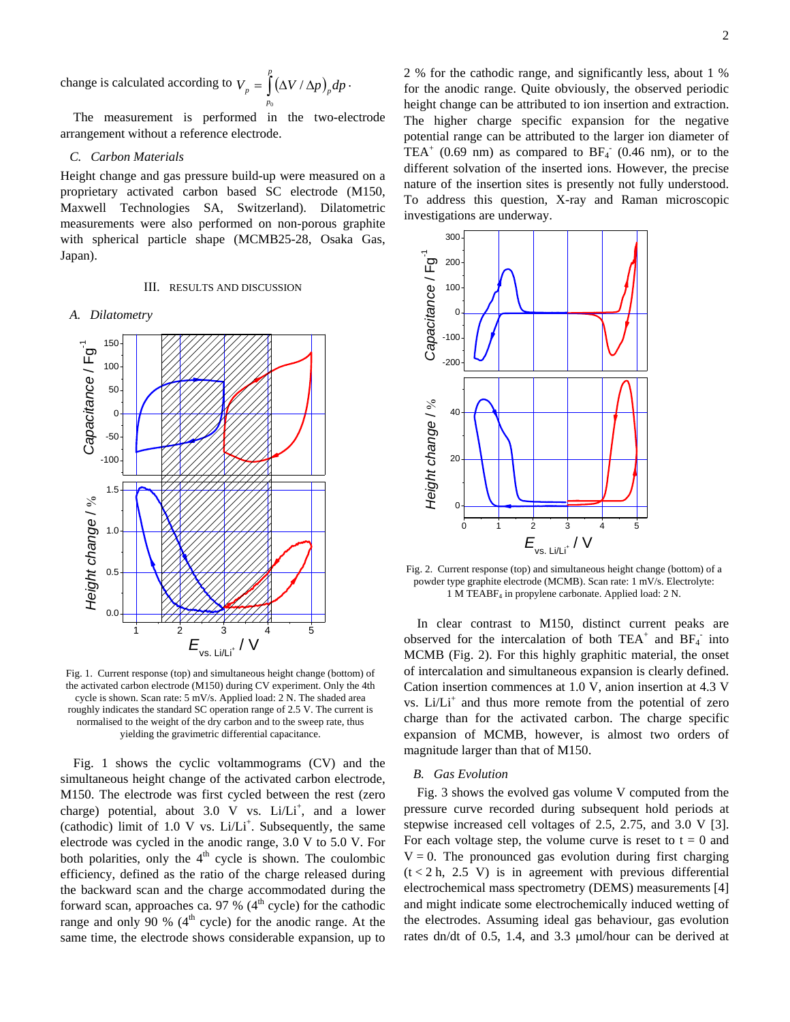change is calculated according to  $V_p = \int_{0}^{p} (\Delta V / \Delta p)_p dp$ . *p*  $\int_{p}$  =  $\int (\Delta V / \Delta p)_{p}$ 0

The measurement is performed in the two-electrode arrangement without a reference electrode.

# *C. Carbon Materials*

Height change and gas pressure build-up were measured on a proprietary activated carbon based SC electrode (M150, Maxwell Technologies SA, Switzerland). Dilatometric measurements were also performed on non-porous graphite with spherical particle shape (MCMB25-28, Osaka Gas, Japan).

## III. RESULTS AND DISCUSSION

#### *A. Dilatometry*



Fig. 1. Current response (top) and simultaneous height change (bottom) of the activated carbon electrode (M150) during CV experiment. Only the 4th cycle is shown. Scan rate: 5 mV/s. Applied load: 2 N. The shaded area roughly indicates the standard SC operation range of 2.5 V. The current is normalised to the weight of the dry carbon and to the sweep rate, thus yielding the gravimetric differential capacitance.

Fig. 1 shows the cyclic voltammograms (CV) and the simultaneous height change of the activated carbon electrode, M150. The electrode was first cycled between the rest (zero charge) potential, about  $3.0 \text{ V}$  vs.  $Li/Li^{+}$ , and a lower (cathodic) limit of  $1.0 \text{ V}$  vs.  $Li/Li^{+}$ . Subsequently, the same electrode was cycled in the anodic range, 3.0 V to 5.0 V. For both polarities, only the  $4<sup>th</sup>$  cycle is shown. The coulombic efficiency, defined as the ratio of the charge released during the backward scan and the charge accommodated during the forward scan, approaches ca. 97 %  $(4<sup>th</sup>$  cycle) for the cathodic range and only 90 %  $(4<sup>th</sup>$  cycle) for the anodic range. At the same time, the electrode shows considerable expansion, up to

2 % for the cathodic range, and significantly less, about 1 % for the anodic range. Quite obviously, the observed periodic height change can be attributed to ion insertion and extraction. The higher charge specific expansion for the negative potential range can be attributed to the larger ion diameter of TEA<sup>+</sup> (0.69 nm) as compared to  $BF_4$ <sup>-</sup> (0.46 nm), or to the different solvation of the inserted ions. However, the precise nature of the insertion sites is presently not fully understood. To address this question, X-ray and Raman microscopic investigations are underway.



Fig. 2. Current response (top) and simultaneous height change (bottom) of a powder type graphite electrode (MCMB). Scan rate: 1 mV/s. Electrolyte: 1 M TEABF4 in propylene carbonate. Applied load: 2 N.

In clear contrast to M150, distinct current peaks are observed for the intercalation of both  $TEA^+$  and  $BF_4^-$  into MCMB (Fig. 2). For this highly graphitic material, the onset of intercalation and simultaneous expansion is clearly defined. Cation insertion commences at 1.0 V, anion insertion at 4.3 V vs. Li/Li<sup>+</sup> and thus more remote from the potential of zero charge than for the activated carbon. The charge specific expansion of MCMB, however, is almost two orders of magnitude larger than that of M150.

# *B. Gas Evolution*

Fig. 3 shows the evolved gas volume V computed from the pressure curve recorded during subsequent hold periods at stepwise increased cell voltages of 2.5, 2.75, and 3.0 V [3]. For each voltage step, the volume curve is reset to  $t = 0$  and  $V = 0$ . The pronounced gas evolution during first charging  $(t < 2 h, 2.5 V)$  is in agreement with previous differential electrochemical mass spectrometry (DEMS) measurements [4] and might indicate some electrochemically induced wetting of the electrodes. Assuming ideal gas behaviour, gas evolution rates dn/dt of 0.5, 1.4, and 3.3 μmol/hour can be derived at